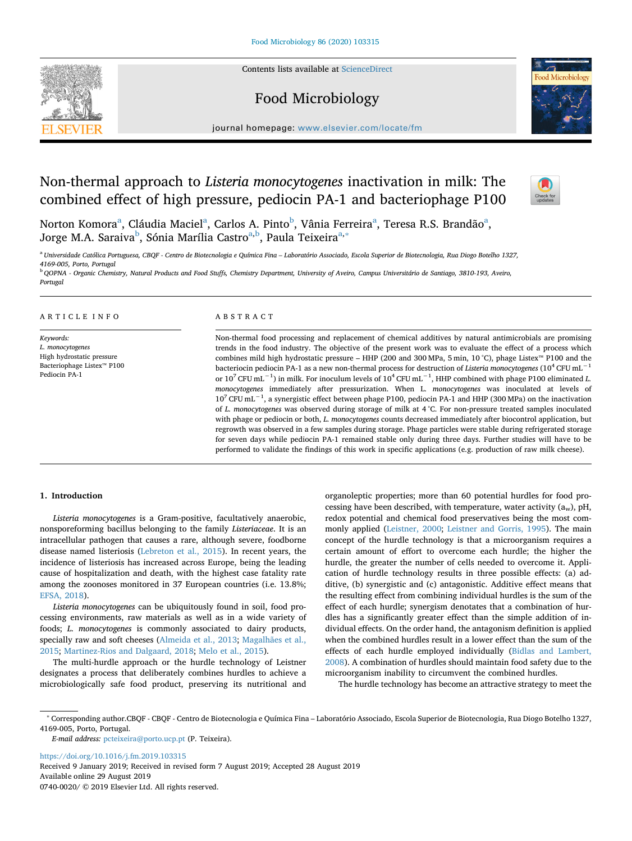Contents lists available at [ScienceDirect](http://www.sciencedirect.com/science/journal/07400020)

# Food Microbiology

journal homepage: [www.elsevier.com/locate/fm](https://www.elsevier.com/locate/fm)

# Non-thermal approach to *Listeria monocytogenes* inactivation in milk: The combined effect of high pressure, pediocin PA-1 and bacteriophage P100

Norton Komor[a](#page-0-0)<sup>a</sup>, Cláudia Maciel<sup>a</sup>, Carlos A. Pinto<sup>[b](#page-0-1)</sup>, Vânia Ferreira<sup>a</sup>, Teresa R.S. Brandão<sup>a</sup>, Jorge M.A. Saraiva<sup>b</sup>, Sónia Marília Castro<sup>a[,b](#page-0-1)</sup>, Paula Teixeira<sup>[a,](#page-0-0)</sup>\*

<span id="page-0-0"></span><sup>a</sup> *Universidade Católica Portuguesa, CBQF - Centro de Biotecnologia e Química Fina – Laboratório Associado, Escola Superior de Biotecnologia, Rua Diogo Botelho 1327, 4169-005, Porto, Portugal*

<span id="page-0-1"></span><sup>b</sup> *QOPNA - Organic Chemistry, Natural Products and Food Stuffs, Chemistry Department, University of Aveiro, Campus Universitário de Santiago, 3810-193, Aveiro, Portugal*

#### ARTICLE INFO

*Keywords: L. monocytogenes* High hydrostatic pressure Bacteriophage Listex™ P100 Pediocin PA-1

## ABSTRACT

Non-thermal food processing and replacement of chemical additives by natural antimicrobials are promising trends in the food industry. The objective of the present work was to evaluate the effect of a process which combines mild high hydrostatic pressure – HHP (200 and 300 MPa, 5 min, 10 °C), phage Listex™ P100 and the bacteriocin pediocin PA-1 as a new non-thermal process for destruction of *Listeria monocytogenes* (10<sup>4</sup> CFU mL−1 or 10<sup>7</sup> CFU mL−1) in milk. For inoculum levels of 104 CFU mL−1, HHP combined with phage P100 eliminated *L. monocytogenes* immediately after pressurization. When L. *monocytogenes* was inoculated at levels of 10<sup>7</sup> CFU mL−1, a synergistic effect between phage P100, pediocin PA-1 and HHP (300 MPa) on the inactivation of *L. monocytogenes* was observed during storage of milk at 4 °C. For non-pressure treated samples inoculated with phage or pediocin or both, *L. monocytogenes* counts decreased immediately after biocontrol application, but regrowth was observed in a few samples during storage. Phage particles were stable during refrigerated storage for seven days while pediocin PA-1 remained stable only during three days. Further studies will have to be performed to validate the findings of this work in specific applications (e.g. production of raw milk cheese).

#### **1. Introduction**

*Listeria monocytogenes* is a Gram-positive, facultatively anaerobic, nonsporeforming bacillus belonging to the family *Listeriaceae*. It is an intracellular pathogen that causes a rare, although severe, foodborne disease named listeriosis ([Lebreton et al., 2015](#page-8-0)). In recent years, the incidence of listeriosis has increased across Europe, being the leading cause of hospitalization and death, with the highest case fatality rate among the zoonoses monitored in 37 European countries (i.e. 13.8%; [EFSA, 2018\)](#page-8-1).

*Listeria monocytogenes* can be ubiquitously found in soil, food processing environments, raw materials as well as in a wide variety of foods; *L. monocytogenes* is commonly associated to dairy products, specially raw and soft cheeses [\(Almeida et al., 2013](#page-7-0); [Magalhães et al.,](#page-8-2) [2015;](#page-8-2) [Martinez-Rios and Dalgaard, 2018;](#page-8-3) [Melo et al., 2015](#page-8-4)).

The multi-hurdle approach or the hurdle technology of Leistner designates a process that deliberately combines hurdles to achieve a microbiologically safe food product, preserving its nutritional and

cessing have been described, with temperature, water activity  $(a_w)$ , pH, redox potential and chemical food preservatives being the most commonly applied ([Leistner, 2000](#page-8-5); [Leistner and Gorris, 1995\)](#page-8-6). The main concept of the hurdle technology is that a microorganism requires a certain amount of effort to overcome each hurdle; the higher the hurdle, the greater the number of cells needed to overcome it. Application of hurdle technology results in three possible effects: (a) additive, (b) synergistic and (c) antagonistic. Additive effect means that the resulting effect from combining individual hurdles is the sum of the effect of each hurdle; synergism denotates that a combination of hurdles has a significantly greater effect than the simple addition of individual effects. On the order hand, the antagonism definition is applied when the combined hurdles result in a lower effect than the sum of the effects of each hurdle employed individually ([Bidlas and Lambert,](#page-7-1) [2008\)](#page-7-1). A combination of hurdles should maintain food safety due to the microorganism inability to circumvent the combined hurdles.

organoleptic properties; more than 60 potential hurdles for food pro-

The hurdle technology has become an attractive strategy to meet the

*E-mail address:* [pcteixeira@porto.ucp.pt](mailto:pcteixeira@porto.ucp.pt) (P. Teixeira).

<https://doi.org/10.1016/j.fm.2019.103315> Received 9 January 2019; Received in revised form 7 August 2019; Accepted 28 August 2019 Available online 29 August 2019 0740-0020/ © 2019 Elsevier Ltd. All rights reserved.







<span id="page-0-2"></span><sup>∗</sup> Corresponding author.CBQF - CBQF - Centro de Biotecnologia e Química Fina – Laboratório Associado, Escola Superior de Biotecnologia, Rua Diogo Botelho 1327, 4169-005, Porto, Portugal.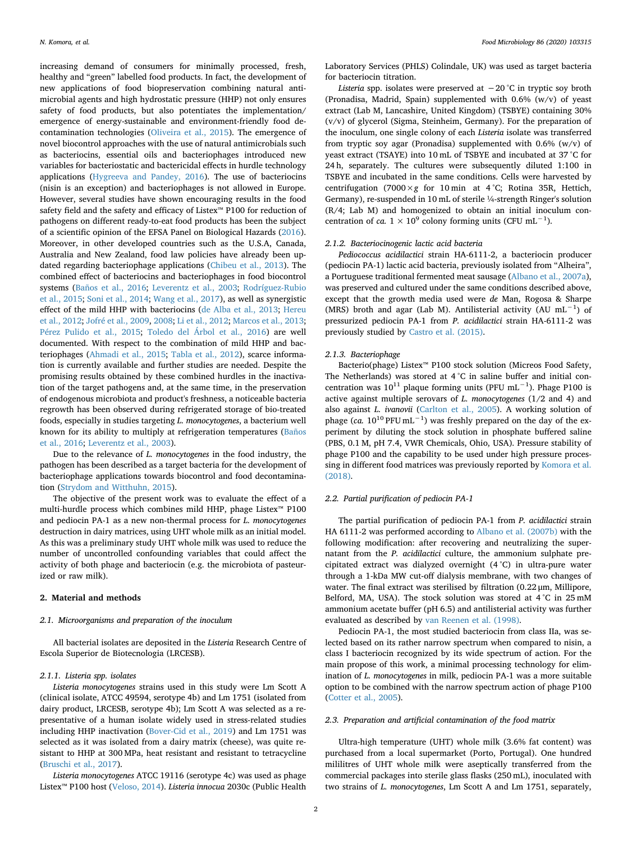increasing demand of consumers for minimally processed, fresh, healthy and "green" labelled food products. In fact, the development of new applications of food biopreservation combining natural antimicrobial agents and high hydrostatic pressure (HHP) not only ensures safety of food products, but also potentiates the implementation/ emergence of energy-sustainable and environment-friendly food decontamination technologies [\(Oliveira et al., 2015\)](#page-8-7). The emergence of novel biocontrol approaches with the use of natural antimicrobials such as bacteriocins, essential oils and bacteriophages introduced new variables for bacteriostatic and bactericidal effects in hurdle technology applications [\(Hygreeva and Pandey, 2016\)](#page-8-8). The use of bacteriocins (nisin is an exception) and bacteriophages is not allowed in Europe. However, several studies have shown encouraging results in the food safety field and the safety and efficacy of Listex™ P100 for reduction of pathogens on different ready-to-eat food products has been the subject of a scientific opinion of the EFSA Panel on Biological Hazards [\(2016](#page-8-9)). Moreover, in other developed countries such as the U.S.A, Canada, Australia and New Zealand, food law policies have already been updated regarding bacteriophage applications [\(Chibeu et al., 2013](#page-7-2)). The combined effect of bacteriocins and bacteriophages in food biocontrol systems [\(Baños et al., 2016;](#page-7-3) [Leverentz et al., 2003;](#page-8-10) [Rodríguez-Rubio](#page-8-11) [et al., 2015;](#page-8-11) [Soni et al., 2014](#page-8-12); [Wang et al., 2017](#page-8-13)), as well as synergistic effect of the mild HHP with bacteriocins [\(de Alba et al., 2013](#page-8-14); [Hereu](#page-8-15) [et al., 2012](#page-8-15); [Jofré et al., 2009,](#page-8-16) [2008;](#page-8-17) [Li et al., 2012](#page-8-18); [Marcos et al., 2013](#page-8-19); [Pérez Pulido et al., 2015](#page-8-20); [Toledo del Árbol et al., 2016\)](#page-8-21) are well documented. With respect to the combination of mild HHP and bacteriophages [\(Ahmadi et al., 2015](#page-7-4); [Tabla et al., 2012\)](#page-8-22), scarce information is currently available and further studies are needed. Despite the promising results obtained by these combined hurdles in the inactivation of the target pathogens and, at the same time, in the preservation of endogenous microbiota and product's freshness, a noticeable bacteria regrowth has been observed during refrigerated storage of bio-treated foods, especially in studies targeting *L. monocytogenes*, a bacterium well known for its ability to multiply at refrigeration temperatures ([Baños](#page-7-3) [et al., 2016](#page-7-3); [Leverentz et al., 2003\)](#page-8-10).

Due to the relevance of *L. monocytogenes* in the food industry, the pathogen has been described as a target bacteria for the development of bacteriophage applications towards biocontrol and food decontamination [\(Strydom and Witthuhn, 2015\)](#page-8-23).

The objective of the present work was to evaluate the effect of a multi-hurdle process which combines mild HHP, phage Listex™ P100 and pediocin PA-1 as a new non-thermal process for *L. monocytogenes* destruction in dairy matrices, using UHT whole milk as an initial model. As this was a preliminary study UHT whole milk was used to reduce the number of uncontrolled confounding variables that could affect the activity of both phage and bacteriocin (e.g. the microbiota of pasteurized or raw milk).

## **2. Material and methods**

### *2.1. Microorganisms and preparation of the inoculum*

All bacterial isolates are deposited in the *Listeria* Research Centre of Escola Superior de Biotecnologia (LRCESB).

#### *2.1.1. Listeria spp. isolates*

*Listeria monocytogenes* strains used in this study were Lm Scott A (clinical isolate, ATCC 49594, serotype 4b) and Lm 1751 (isolated from dairy product, LRCESB, serotype 4b); Lm Scott A was selected as a representative of a human isolate widely used in stress-related studies including HHP inactivation ([Bover-Cid et al., 2019](#page-7-5)) and Lm 1751 was selected as it was isolated from a dairy matrix (cheese), was quite resistant to HHP at 300 MPa, heat resistant and resistant to tetracycline ([Bruschi et al., 2017](#page-7-6)).

*Listeria monocytogenes* ATCC 19116 (serotype 4c) was used as phage Listex™ P100 host ([Veloso, 2014\)](#page-8-24). *Listeria innocua* 2030c (Public Health

Laboratory Services (PHLS) Colindale, UK) was used as target bacteria for bacteriocin titration.

*Listeria* spp. isolates were preserved at −20 °C in tryptic soy broth (Pronadisa, Madrid, Spain) supplemented with 0.6% (w/v) of yeast extract (Lab M, Lancashire, United Kingdom) (TSBYE) containing 30% (v/v) of glycerol (Sigma, Steinheim, Germany). For the preparation of the inoculum, one single colony of each *Listeria* isolate was transferred from tryptic soy agar (Pronadisa) supplemented with 0.6% (w/v) of yeast extract (TSAYE) into 10 mL of TSBYE and incubated at 37 °C for 24 h, separately. The cultures were subsequently diluted 1:100 in TSBYE and incubated in the same conditions. Cells were harvested by centrifugation (7000 $\times$ *g* for 10 min at 4 °C; Rotina 35R, Hettich, Germany), re-suspended in 10 mL of sterile ¼-strength Ringer's solution (R/4; Lab M) and homogenized to obtain an initial inoculum concentration of *ca*.  $1 \times 10^9$  colony forming units (CFU mL<sup>-1</sup>).

#### *2.1.2. Bacteriocinogenic lactic acid bacteria*

*Pediococcus acidilactici* strain HA-6111-2, a bacteriocin producer (pediocin PA-1) lactic acid bacteria, previously isolated from "Alheira", a Portuguese traditional fermented meat sausage ([Albano et al., 2007a](#page-7-7)), was preserved and cultured under the same conditions described above, except that the growth media used were *de* Man, Rogosa & Sharpe (MRS) broth and agar (Lab M). Antilisterial activity (AU mL−1) of pressurized pediocin PA-1 from *P. acidilactici* strain HA-6111-2 was previously studied by [Castro et al. \(2015\)](#page-7-8).

#### *2.1.3. Bacteriophage*

Bacterio(phage) Listex™ P100 stock solution (Micreos Food Safety, The Netherlands) was stored at 4 °C in saline buffer and initial concentration was  $10^{11}$  plaque forming units (PFU mL<sup>-1</sup>). Phage P100 is active against multiple serovars of *L. monocytogenes* (1/2 and 4) and also against *L. ivanovii* ([Carlton et al., 2005](#page-7-9)). A working solution of phage (*ca.*  $10^{10}$  PFU mL<sup>-1</sup>) was freshly prepared on the day of the experiment by diluting the stock solution in phosphate buffered saline (PBS, 0.1 M, pH 7.4, VWR Chemicals, Ohio, USA). Pressure stability of phage P100 and the capability to be used under high pressure processing in different food matrices was previously reported by [Komora et al.](#page-8-25) [\(2018\).](#page-8-25)

#### *2.2. Partial purification of pediocin PA-1*

The partial purification of pediocin PA-1 from *P. acidilactici* strain HA 6111-2 was performed according to [Albano et al. \(2007b\)](#page-7-10) with the following modification: after recovering and neutralizing the supernatant from the *P. acidilactici* culture, the ammonium sulphate precipitated extract was dialyzed overnight (4 °C) in ultra-pure water through a 1-kDa MW cut-off dialysis membrane, with two changes of water. The final extract was sterilised by filtration (0.22 μm, Millipore, Belford, MA, USA). The stock solution was stored at 4 °C in 25 mM ammonium acetate buffer (pH 6.5) and antilisterial activity was further evaluated as described by [van Reenen et al. \(1998\).](#page-8-26)

Pediocin PA-1, the most studied bacteriocin from class IIa, was selected based on its rather narrow spectrum when compared to nisin, a class I bacteriocin recognized by its wide spectrum of action. For the main propose of this work, a minimal processing technology for elimination of *L. monocytogenes* in milk, pediocin PA-1 was a more suitable option to be combined with the narrow spectrum action of phage P100 ([Cotter et al., 2005\)](#page-8-27).

#### <span id="page-1-0"></span>*2.3. Preparation and artificial contamination of the food matrix*

Ultra-high temperature (UHT) whole milk (3.6% fat content) was purchased from a local supermarket (Porto, Portugal). One hundred mililitres of UHT whole milk were aseptically transferred from the commercial packages into sterile glass flasks (250 mL), inoculated with two strains of *L. monocytogenes*, Lm Scott A and Lm 1751, separately,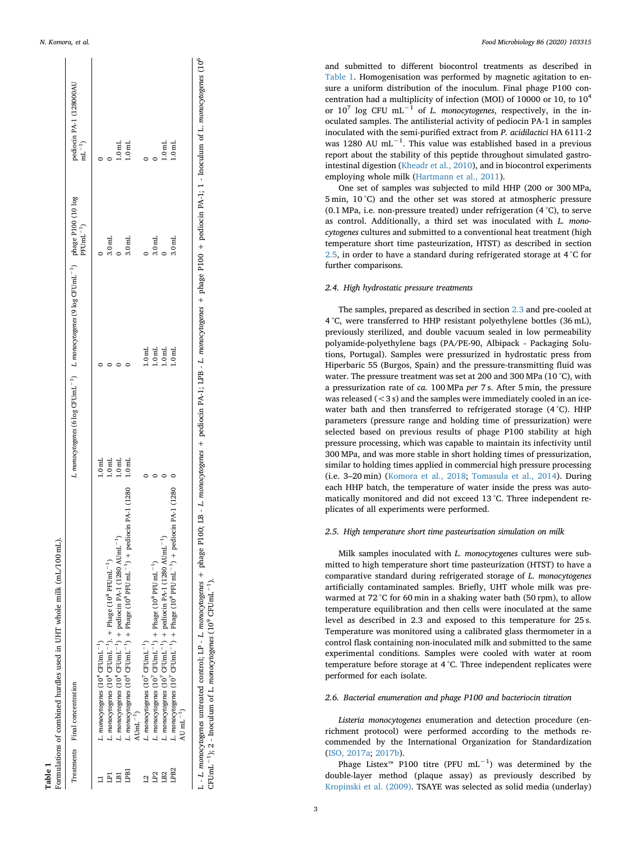<span id="page-2-0"></span>

|                 | Treatments Final concentration                                                                                                                         |                                      | L. monocytogenes (6 log CFUmL <sup>-1</sup> ) L. monocytogenes (9 log CFUmL <sup>-1</sup> ) phage P100 (10 log | $PFImL^{-1}$      | pediocin PA-1 (128000AL<br>$mL^{-1}$ |
|-----------------|--------------------------------------------------------------------------------------------------------------------------------------------------------|--------------------------------------|----------------------------------------------------------------------------------------------------------------|-------------------|--------------------------------------|
|                 | L. monocytogenes (10 <sup>4</sup> CFUmL <sup>-1</sup> )                                                                                                | 1.0 <sub>ml</sub>                    |                                                                                                                |                   |                                      |
|                 | L. monocytogenes $(10^4 \text{ CFUnL}^{-1})$ . + Phage $(10^8 \text{ PFUnL}^{-1})$                                                                     | $1.0\,\mathrm{mL}$ 1.0 $\mathrm{mL}$ |                                                                                                                | 3.0 <sub>ml</sub> |                                      |
| Ę               | L. monocytogenes (10 <sup>4</sup> CFUmL <sup>-1</sup> ) + pediocin PA-1 (1280 AUmL <sup>-1</sup> )                                                     |                                      |                                                                                                                |                   | 1.0 <sub>ml</sub>                    |
| LPB1            | L. monocytogenes $(10^4 \text{ CFUmL}^{-1}) + \text{Phase } (10^8 \text{ PFUmL}^{-1}) + \text{pediocin PA-1 } (1280 - 1.0 \text{mL}^{-1})$             |                                      |                                                                                                                | 3.0 <sub>ml</sub> | 1.0 <sub>mL</sub>                    |
|                 | $\text{Alumi}^{-1}$                                                                                                                                    |                                      |                                                                                                                |                   |                                      |
|                 | L. monocytogenes $(10^{7}$ CFUmL <sup>-1</sup> )                                                                                                       |                                      |                                                                                                                |                   |                                      |
| LP <sub>2</sub> | L. monocytogenes $(10^{\prime}$ CFUmL <sup>-1</sup> ) + Phage $(10^8$ PFU mL <sup>-1</sup> )                                                           |                                      | $\frac{1.0 \text{ mL}}{1.0 \text{ mL}}$                                                                        | 3.0 <sub>ml</sub> |                                      |
| $_{B2}$         | L. monocytogenes (10 <sup>7</sup> CFUmL <sup>-1</sup> ) + pediocin PA-1 (1280 AUmL <sup>-1</sup> )                                                     |                                      |                                                                                                                | $\overline{a}$    | 1.0 <sub>ml</sub>                    |
| LPB2            | L. monocytogenes (10 <sup>7</sup> CFUmL <sup>-1</sup> ) + Phage (10 <sup>8</sup> PFU mL <sup>-1</sup> ) + pediocin PA-1 (1280<br>AU $\text{mL}^{-1}$ ) |                                      | 1.0 <sub>mt</sub>                                                                                              | 3.0 <sub>ml</sub> | 1.0 <sub>mL</sub>                    |

**Table 1**

L - L. monocytogenes untreated control; LP - L. monocytogenes + phage P100; LB - L. monocytogenes + L. monocytogenes + phage P100 + pediocin PA-1; 1 - Inoculum of L. monocytogenes (10<sup>6</sup> Ę. CFUmL<sup>-1</sup>); 2 - Inoculum of L. monocytogenes (10<sup>9</sup> CFUmL<sup>-1</sup>). CFUmL−1); 2 - Inoculum of L. *monocytogenes* (109 CFUmL−1). Ŀ untreated control; LP nocytogenes .<br>ٺ

*N. Komora, et al. Food Microbiology 86 (2020) 103315*

and submitted to different biocontrol treatments as described in [Table 1.](#page-2-0) Homogenisation was performed by magnetic agitation to ensure a uniform distribution of the inoculum. Final phage P100 concentration had a multiplicity of infection (MOI) of 10000 or 10, to 104 or 10 <sup>7</sup> log CFU mL−1 of *L. monocytogenes*, respectively, in the inoculated samples. The antilisterial activity of pediocin PA-1 in samples inoculated with the semi-purified extract from *P. acidilactici* HA 6111-2 was 1280 AU mL<sup> $-1$ </sup>. This value was established based in a previous report about the stability of this peptide throughout simulated gastrointestinal digestion ([Kheadr et al., 2010](#page-8-28)), and in biocontrol experiments employing whole milk ([Hartmann et al., 2011](#page-8-29)).

One set of samples was subjected to mild HHP (200 or 300 MPa, 5 min, 10 °C) and the other set was stored at atmospheric pressure (0.1 MPa, i.e. non-pressure treated) under refrigeration (4 °C), to serve as control. Additionally, a third set was inoculated with *L. monocytogenes* cultures and submitted to a conventional heat treatment (high temperature short time pasteurization, HTST) as described in section [2.5,](#page-2-1) in order to have a standard during refrigerated storage at 4 °C for further comparisons.

#### *2.4. High hydrostatic pressure treatments*

The samples, prepared as described in section [2.3](#page-1-0) and pre-cooled at 4 °C, were transferred to HHP resistant polyethylene bottles (36 mL), previously sterilized, and double vacuum sealed in low permeability polyamide-polyethylene bags (PA/PE-90, Albipack - Packaging Solutions, Portugal). Samples were pressurized in hydrostatic press from Hiperbaric 55 (Burgos, Spain) and the pressure-transmitting fluid was water. The pressure treatment was set at 200 and 300 MPa (10 °C), with a pressurization rate of *ca.* 100 MPa *per* 7 s. After 5 min, the pressure was released  $(< 3 s)$  and the samples were immediately cooled in an icewater bath and then transferred to refrigerated storage (4 °C). HHP parameters (pressure range and holding time of pressurization) were selected based on previous results of phage P100 stability at high pressure processing, which was capable to maintain its infectivity until 300 MPa, and was more stable in short holding times of pressurization, similar to holding times applied in commercial high pressure processing (i.e. 3–20 min) ([Komora et al., 2018](#page-8-25) ; [Tomasula et al., 2014\)](#page-8-30). During each HHP batch, the temperature of water inside the press was automatically monitored and did not exceed 13 °C. Three independent replicates of all experiments were performed.

#### <span id="page-2-1"></span>*2.5. High temperature short time pasteurization simulation on milk*

Milk samples inoculated with *L. monocytogenes* cultures were submitted to high temperature short time pasteurization (HTST) to have a comparative standard during refrigerated storage of *L. monocytogenes* artificially contaminated samples. Briefly, UHT whole milk was prewarmed at 72 °C for 60 min in a shaking water bath (50 rpm), to allow temperature equilibration and then cells were inoculated at the same level as described in 2.3 and exposed to this temperature for 25 s. Temperature was monitored using a calibrated glass thermometer in a control flask containing non-inoculated milk and submitted to the same experimental conditions. Samples were cooled with water at room temperature before storage at 4 °C. Three independent replicates were performed for each isolate.

#### *2.6. Bacterial enumeration and phage P100 and bacteriocin titration*

*Listeria monocytogenes* enumeration and detection procedure (enrichment protocol) were performed according to the methods recommended by the International Organization for Standardization ([ISO, 2017a](#page-8-31); [2017b](#page-8-32)).

Phage Listex™ P100 titre (PFU mL−1) was determined by the double-layer method (plaque assay) as previously described by [Kropinski et al. \(2009\).](#page-8-33) TSAYE was selected as solid media (underlay)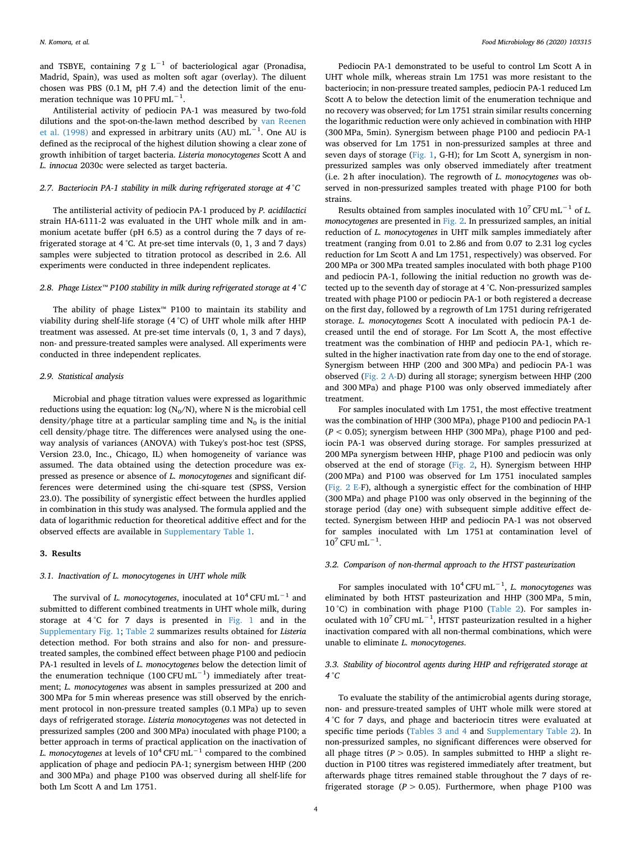and TSBYE, containing 7 g L<sup>-1</sup> of bacteriological agar (Pronadisa, Madrid, Spain), was used as molten soft agar (overlay). The diluent chosen was PBS (0.1 M, pH 7.4) and the detection limit of the enumeration technique was 10 PFU mL<sup> $-1$ </sup>.

Antilisterial activity of pediocin PA-1 was measured by two-fold dilutions and the spot-on-the-lawn method described by [van Reenen](#page-8-26) [et al. \(1998\)](#page-8-26) and expressed in arbitrary units (AU) mL<sup>-1</sup>. One AU is defined as the reciprocal of the highest dilution showing a clear zone of growth inhibition of target bacteria. *Listeria monocytogenes* Scott A and *L. innocua* 2030c were selected as target bacteria.

#### *2.7. Bacteriocin PA-1 stability in milk during refrigerated storage at 4 °C*

The antilisterial activity of pediocin PA-1 produced by *P. acidilactici* strain HA-6111-2 was evaluated in the UHT whole milk and in ammonium acetate buffer (pH 6.5) as a control during the 7 days of refrigerated storage at 4 °C. At pre-set time intervals (0, 1, 3 and 7 days) samples were subjected to titration protocol as described in 2.6. All experiments were conducted in three independent replicates.

#### *2.8. Phage Listex™ P100 stability in milk during refrigerated storage at 4 °C*

The ability of phage Listex™ P100 to maintain its stability and viability during shelf-life storage (4 °C) of UHT whole milk after HHP treatment was assessed. At pre-set time intervals (0, 1, 3 and 7 days), non- and pressure-treated samples were analysed. All experiments were conducted in three independent replicates.

#### *2.9. Statistical analysis*

Microbial and phage titration values were expressed as logarithmic reductions using the equation:  $log (N_0/N)$ , where N is the microbial cell density/phage titre at a particular sampling time and  $N_0$  is the initial cell density/phage titre. The differences were analysed using the oneway analysis of variances (ANOVA) with Tukey's post-hoc test (SPSS, Version 23.0, Inc., Chicago, IL) when homogeneity of variance was assumed. The data obtained using the detection procedure was expressed as presence or absence of *L. monocytogenes* and significant differences were determined using the chi-square test (SPSS, Version 23.0). The possibility of synergistic effect between the hurdles applied in combination in this study was analysed. The formula applied and the data of logarithmic reduction for theoretical additive effect and for the observed effects are available in Supplementary Table 1.

#### **3. Results**

#### *3.1. Inactivation of L. monocytogenes in UHT whole milk*

The survival of *L. monocytogenes*, inoculated at 104 CFU mL−1 and submitted to different combined treatments in UHT whole milk, during storage at 4 °C for 7 days is presented in [Fig. 1](#page-4-0) and in the Supplementary Fig. 1; [Table 2](#page-4-1) summarizes results obtained for *Listeria* detection method. For both strains and also for non- and pressuretreated samples, the combined effect between phage P100 and pediocin PA-1 resulted in levels of *L. monocytogenes* below the detection limit of the enumeration technique  $(100 \text{ CFU mL}^{-1})$  immediately after treatment; *L. monocytogenes* was absent in samples pressurized at 200 and 300 MPa for 5 min whereas presence was still observed by the enrichment protocol in non-pressure treated samples (0.1 MPa) up to seven days of refrigerated storage. *Listeria monocytogenes* was not detected in pressurized samples (200 and 300 MPa) inoculated with phage P100; a better approach in terms of practical application on the inactivation of *L. monocytogenes* at levels of  $10^4$  CFU mL<sup> $-1$ </sup> compared to the combined application of phage and pediocin PA-1; synergism between HHP (200 and 300 MPa) and phage P100 was observed during all shelf-life for both Lm Scott A and Lm 1751.

Pediocin PA-1 demonstrated to be useful to control Lm Scott A in UHT whole milk, whereas strain Lm 1751 was more resistant to the bacteriocin; in non-pressure treated samples, pediocin PA-1 reduced Lm Scott A to below the detection limit of the enumeration technique and no recovery was observed; for Lm 1751 strain similar results concerning the logarithmic reduction were only achieved in combination with HHP (300 MPa, 5min). Synergism between phage P100 and pediocin PA-1 was observed for Lm 1751 in non-pressurized samples at three and seven days of storage ([Fig. 1](#page-4-0), G-H); for Lm Scott A, synergism in nonpressurized samples was only observed immediately after treatment (i.e. 2 h after inoculation). The regrowth of *L. monocytogenes* was observed in non-pressurized samples treated with phage P100 for both strains.

Results obtained from samples inoculated with 10<sup>7</sup> CFU mL−1 of *L. monocytogenes* are presented in [Fig. 2](#page-5-0). In pressurized samples, an initial reduction of *L. monocytogenes* in UHT milk samples immediately after treatment (ranging from 0.01 to 2.86 and from 0.07 to 2.31 log cycles reduction for Lm Scott A and Lm 1751, respectively) was observed. For 200 MPa or 300 MPa treated samples inoculated with both phage P100 and pediocin PA-1, following the initial reduction no growth was detected up to the seventh day of storage at 4 °C. Non-pressurized samples treated with phage P100 or pediocin PA-1 or both registered a decrease on the first day, followed by a regrowth of Lm 1751 during refrigerated storage. *L. monocytogenes* Scott A inoculated with pediocin PA-1 decreased until the end of storage. For Lm Scott A, the most effective treatment was the combination of HHP and pediocin PA-1, which resulted in the higher inactivation rate from day one to the end of storage. Synergism between HHP (200 and 300 MPa) and pediocin PA-1 was observed ([Fig. 2 A-](#page-5-0)D) during all storage; synergism between HHP (200 and 300 MPa) and phage P100 was only observed immediately after treatment.

For samples inoculated with Lm 1751, the most effective treatment was the combination of HHP (300 MPa), phage P100 and pediocin PA-1 (*P* < 0.05); synergism between HHP (300 MPa), phage P100 and pediocin PA-1 was observed during storage. For samples pressurized at 200 MPa synergism between HHP, phage P100 and pediocin was only observed at the end of storage [\(Fig. 2](#page-5-0), H). Synergism between HHP (200 MPa) and P100 was observed for Lm 1751 inoculated samples ([Fig. 2 E-](#page-5-0)F), although a synergistic effect for the combination of HHP (300 MPa) and phage P100 was only observed in the beginning of the storage period (day one) with subsequent simple additive effect detected. Synergism between HHP and pediocin PA-1 was not observed for samples inoculated with Lm 1751 at contamination level of  $10^7$  CFU mL<sup>-1</sup>.

#### *3.2. Comparison of non-thermal approach to the HTST pasteurization*

For samples inoculated with 10<sup>4</sup> CFU mL−1, *L. monocytogenes* was eliminated by both HTST pasteurization and HHP (300 MPa, 5 min, 10 °C) in combination with phage P100 [\(Table 2\)](#page-4-1). For samples inoculated with  $10^7$  CFU mL<sup>-1</sup>, HTST pasteurization resulted in a higher inactivation compared with all non-thermal combinations, which were unable to eliminate *L. monocytogenes*.

#### *3.3. Stability of biocontrol agents during HHP and refrigerated storage at 4 °C*

To evaluate the stability of the antimicrobial agents during storage, non- and pressure-treated samples of UHT whole milk were stored at 4 °C for 7 days, and phage and bacteriocin titres were evaluated at specific time periods ([Tables 3 and 4](#page-6-0) and Supplementary Table 2). In non-pressurized samples, no significant differences were observed for all phage titres ( $P > 0.05$ ). In samples submitted to HHP a slight reduction in P100 titres was registered immediately after treatment, but afterwards phage titres remained stable throughout the 7 days of refrigerated storage ( $P > 0.05$ ). Furthermore, when phage P100 was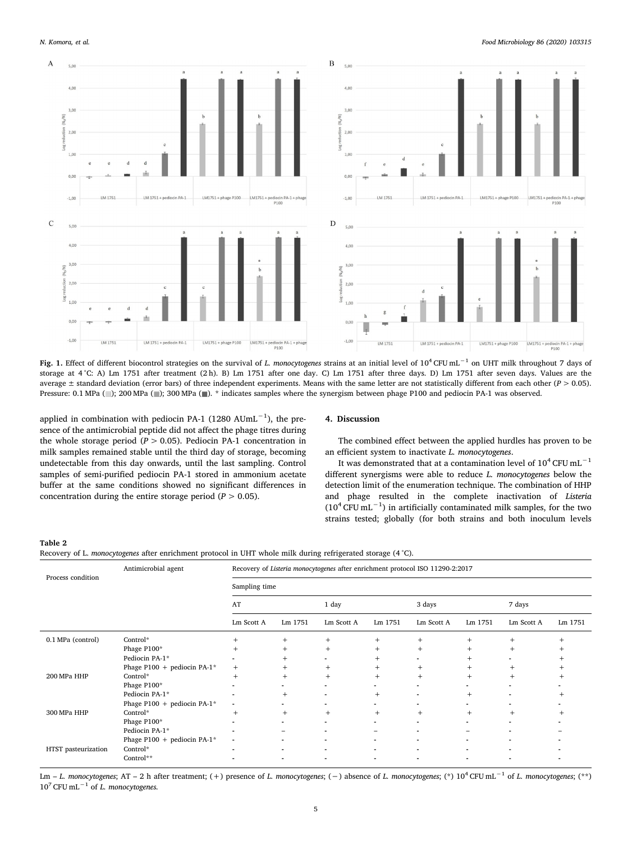<span id="page-4-0"></span>

**Fig. 1.** Effect of different biocontrol strategies on the survival of *L. monocytogenes* strains at an initial level of 104 CFU mL−1 on UHT milk throughout 7 days of storage at 4 °C: A) Lm 1751 after treatment (2 h). B) Lm 1751 after one day. C) Lm 1751 after three days. D) Lm 1751 after seven days. Values are the average ± standard deviation (error bars) of three independent experiments. Means with the same letter are not statistically different from each other (*P* > 0.05). Pressure: 0.1 MPa ( ); 200 MPa ( ); 300 MPa ( ): \* indicates samples where the synergism between phage P100 and pediocin PA-1 was observed.

applied in combination with pediocin PA-1 (1280 AUmL−1), the presence of the antimicrobial peptide did not affect the phage titres during the whole storage period ( $P > 0.05$ ). Pediocin PA-1 concentration in milk samples remained stable until the third day of storage, becoming undetectable from this day onwards, until the last sampling. Control samples of semi-purified pediocin PA-1 stored in ammonium acetate buffer at the same conditions showed no significant differences in concentration during the entire storage period  $(P > 0.05)$ .

#### **4. Discussion**

The combined effect between the applied hurdles has proven to be an efficient system to inactivate *L. monocytogenes*.

It was demonstrated that at a contamination level of  $10^4$  CFU mL<sup>-1</sup> different synergisms were able to reduce *L. monocytogenes* below the detection limit of the enumeration technique. The combination of HHP and phage resulted in the complete inactivation of *Listeria*  $(10^4$  CFU mL<sup>-1</sup>) in artificially contaminated milk samples, for the two strains tested; globally (for both strains and both inoculum levels

#### <span id="page-4-1"></span>**Table 2**

| Recovery of L. <i>monocytogenes</i> after enrichment protocol in UHT whole milk during refrigerated storage (4 °C). |  |
|---------------------------------------------------------------------------------------------------------------------|--|
|---------------------------------------------------------------------------------------------------------------------|--|

|                     | Antimicrobial agent         | Recovery of Listeria monocytogenes after enrichment protocol ISO 11290-2:2017 |                          |                          |                |                          |                |            |         |  |  |  |
|---------------------|-----------------------------|-------------------------------------------------------------------------------|--------------------------|--------------------------|----------------|--------------------------|----------------|------------|---------|--|--|--|
| Process condition   |                             | Sampling time                                                                 |                          |                          |                |                          |                |            |         |  |  |  |
|                     |                             | AT                                                                            |                          | 1 day                    |                | 3 days                   |                | 7 days     |         |  |  |  |
|                     |                             | Lm Scott A                                                                    | Lm 1751                  | Lm Scott A               | Lm 1751        | Lm Scott A               | Lm 1751        | Lm Scott A | Lm 1751 |  |  |  |
| 0.1 MPa (control)   | Control*                    | $^{+}$                                                                        | $+$                      | $^{+}$                   | $^{+}$         | $^{+}$                   | $^{+}$         | $^{+}$     |         |  |  |  |
|                     | Phage P100*                 | $^{+}$                                                                        | $^{+}$                   | $^{+}$                   | $^{+}$         | $^{+}$                   | $^{+}$         | $^{+}$     |         |  |  |  |
|                     | Pediocin PA-1*              |                                                                               | $\pm$                    |                          |                |                          | $\pm$          |            |         |  |  |  |
|                     | Phage P100 + pediocin PA-1* | $+$                                                                           | $+$                      | $^{+}$                   | $^{+}$         | $^{+}$                   | $^{+}$         | $^{+}$     |         |  |  |  |
| 200 MPa HHP         | Control*                    | $^{+}$                                                                        | $^{+}$                   | $^{+}$                   | $+$            | $^{+}$                   | $^{+}$         | $^{+}$     |         |  |  |  |
|                     | Phage P100*                 |                                                                               |                          |                          |                |                          |                |            |         |  |  |  |
|                     | Pediocin PA-1*              |                                                                               | $+$                      | $\blacksquare$           | $+$            | ٠                        | $^{+}$         |            |         |  |  |  |
|                     | Phage P100 + pediocin PA-1* | $\blacksquare$                                                                |                          | ۰                        | ۰              | ۰                        | $\blacksquare$ |            |         |  |  |  |
| 300 MPa HHP         | Control*                    | $^{+}$                                                                        | $^{+}$                   | $^{+}$                   | $+$            | $+$                      | $^{+}$         | $^{+}$     |         |  |  |  |
|                     | Phage P100*                 |                                                                               |                          | -                        | $\blacksquare$ | $\blacksquare$           |                |            |         |  |  |  |
|                     | Pediocin PA-1*              |                                                                               | -                        | $\overline{\phantom{0}}$ | -              | $\blacksquare$           | -              |            |         |  |  |  |
|                     | Phage P100 + pediocin PA-1* | $\blacksquare$                                                                |                          |                          | ۰              | $\blacksquare$           |                |            |         |  |  |  |
| HTST pasteurization | Control*                    |                                                                               |                          |                          | $\blacksquare$ | $\overline{\phantom{0}}$ |                |            |         |  |  |  |
|                     | Control**                   |                                                                               | $\overline{\phantom{0}}$ | $\blacksquare$           | ٠              | ٠                        |                |            |         |  |  |  |

Lm – *L. monocytogenes*; AT – 2 h after treatment; (+) presence of *L. monocytogenes*; (−) absence of *L. monocytogenes*; (\*) 10<sup>4</sup> CFU mL−1 of *L. monocytogenes*; (\*\*) 10<sup>7</sup> CFU mL−1 of *L. monocytogenes.*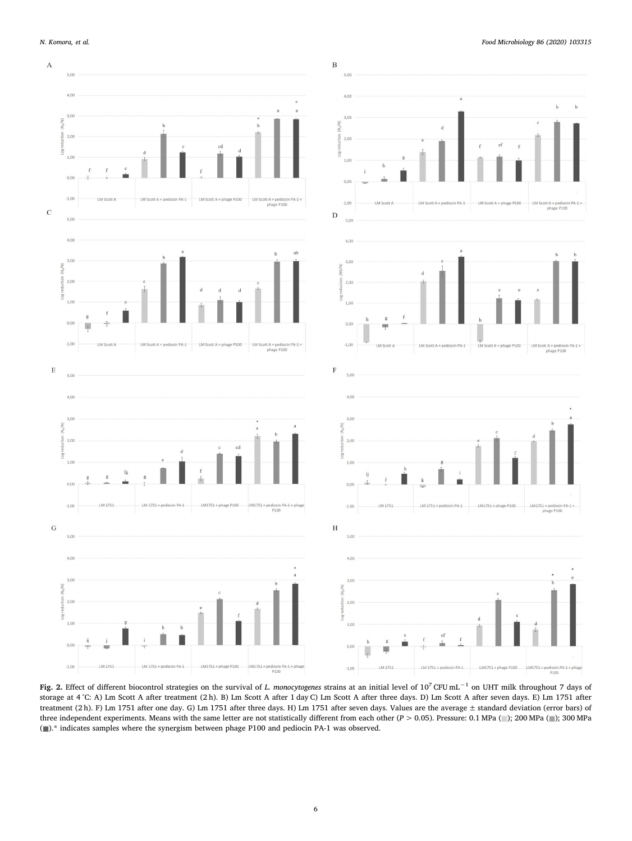

<span id="page-5-0"></span>

**Fig. 2.** Effect of different biocontrol strategies on the survival of *L. monocytogenes* strains at an initial level of 107 CFU mL−1 on UHT milk throughout 7 days of storage at 4 °C: A) Lm Scott A after treatment (2 h). B) Lm Scott A after 1 day C) Lm Scott A after three days. D) Lm Scott A after seven days. E) Lm 1751 after treatment (2 h). F) Lm 1751 after one day. G) Lm 1751 after three days. H) Lm 1751 after seven days. Values are the average ± standard deviation (error bars) of three independent experiments. Means with the same letter are not statistically different from each other (*P* > 0.05). Pressure: 0.1 MPa (<sup>-</sup>); 200 MPa (<sup>-</sup>); 300 MPa  $(\blacksquare).^*$  indicates samples where the synergism between phage P100 and pediocin PA-1 was observed.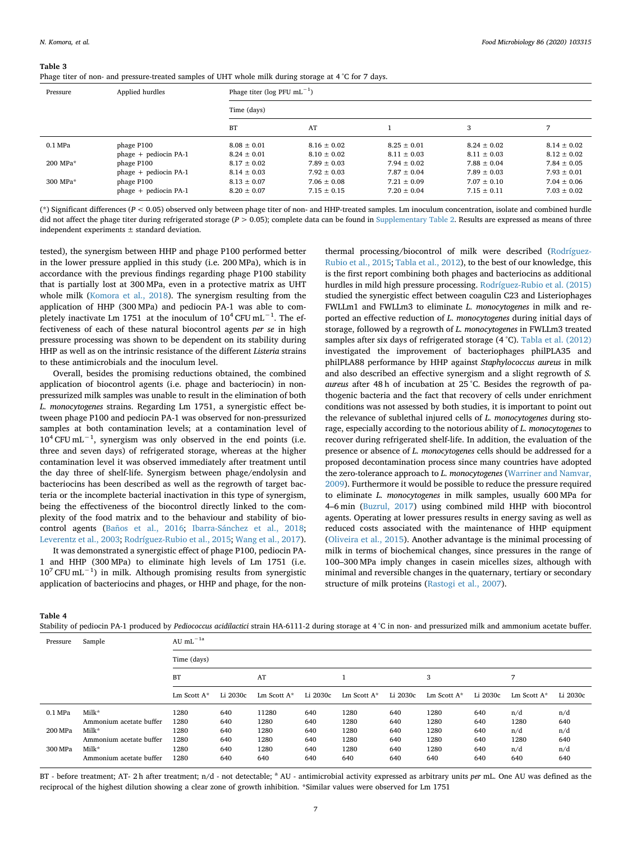#### <span id="page-6-0"></span>**Table 3**

|  |  |  | Phage titer of non- and pressure-treated samples of UHT whole milk during storage at 4 °C for 7 days. |  |
|--|--|--|-------------------------------------------------------------------------------------------------------|--|
|--|--|--|-------------------------------------------------------------------------------------------------------|--|

| Pressure  | Applied hurdles         | Phage titer ( $log$ PFU mL <sup>-1</sup> ) |                 |                 |                 |                 |  |  |  |
|-----------|-------------------------|--------------------------------------------|-----------------|-----------------|-----------------|-----------------|--|--|--|
|           |                         | Time (days)                                |                 |                 |                 |                 |  |  |  |
|           |                         | <b>BT</b>                                  | AT              |                 | 3               |                 |  |  |  |
| $0.1$ MPa | phage P100              | $8.08 \pm 0.01$                            | $8.16 \pm 0.02$ | $8.25 + 0.01$   | $8.24 \pm 0.02$ | $8.14 \pm 0.02$ |  |  |  |
|           | phage + pediocin PA-1   | $8.24 \pm 0.01$                            | $8.10 \pm 0.02$ | $8.11 + 0.03$   | $8.11 + 0.03$   | $8.12 \pm 0.02$ |  |  |  |
| 200 MPa*  | phage P100              | $8.17 \pm 0.02$                            | $7.89 \pm 0.03$ | $7.94 \pm 0.02$ | $7.88 + 0.04$   | $7.84 \pm 0.05$ |  |  |  |
|           | phage + pediocin PA-1   | $8.14 \pm 0.03$                            | $7.92 \pm 0.03$ | $7.87 \pm 0.04$ | $7.89 + 0.03$   | $7.93 \pm 0.01$ |  |  |  |
| 300 MPa*  | phage P100              | $8.13 \pm 0.07$                            | $7.06 \pm 0.08$ | $7.21 + 0.09$   | $7.07 + 0.10$   | $7.04 + 0.06$   |  |  |  |
|           | $phage + pediocin PA-1$ | $8.20 \pm 0.07$                            | $7.15 \pm 0.15$ | $7.20 \pm 0.04$ | $7.15 \pm 0.11$ | $7.03 + 0.02$   |  |  |  |

(\*) Significant differences (*P* < 0.05) observed only between phage titer of non- and HHP-treated samples. Lm inoculum concentration, isolate and combined hurdle did not affect the phage titer during refrigerated storage (*P* > 0.05); complete data can be found in Supplementary Table 2. Results are expressed as means of three independent experiments ± standard deviation.

tested), the synergism between HHP and phage P100 performed better in the lower pressure applied in this study (i.e. 200 MPa), which is in accordance with the previous findings regarding phage P100 stability that is partially lost at 300 MPa, even in a protective matrix as UHT whole milk ([Komora et al., 2018](#page-8-25)). The synergism resulting from the application of HHP (300 MPa) and pediocin PA-1 was able to completely inactivate Lm 1751 at the inoculum of  $10^4$  CFU mL<sup>-1</sup>. The effectiveness of each of these natural biocontrol agents *per se* in high pressure processing was shown to be dependent on its stability during HHP as well as on the intrinsic resistance of the different *Listeria* strains to these antimicrobials and the inoculum level.

Overall, besides the promising reductions obtained, the combined application of biocontrol agents (i.e. phage and bacteriocin) in nonpressurized milk samples was unable to result in the elimination of both *L. monocytogenes* strains. Regarding Lm 1751, a synergistic effect between phage P100 and pediocin PA-1 was observed for non-pressurized samples at both contamination levels; at a contamination level of  $10^4$  CFU mL<sup>-1</sup>, synergism was only observed in the end points (i.e. three and seven days) of refrigerated storage, whereas at the higher contamination level it was observed immediately after treatment until the day three of shelf-life. Synergism between phage/endolysin and bacteriocins has been described as well as the regrowth of target bacteria or the incomplete bacterial inactivation in this type of synergism, being the effectiveness of the biocontrol directly linked to the complexity of the food matrix and to the behaviour and stability of biocontrol agents ([Baños et al., 2016](#page-7-3); [Ibarra-Sánchez et al., 2018](#page-8-34); [Leverentz et al., 2003](#page-8-10); [Rodríguez-Rubio et al., 2015;](#page-8-11) [Wang et al., 2017](#page-8-13)).

It was demonstrated a synergistic effect of phage P100, pediocin PA-1 and HHP (300 MPa) to eliminate high levels of Lm 1751 (i.e. 10<sup>7</sup> CFU mL−1) in milk. Although promising results from synergistic application of bacteriocins and phages, or HHP and phage, for the nonthermal processing/biocontrol of milk were described [\(Rodríguez-](#page-8-11)[Rubio et al., 2015;](#page-8-11) [Tabla et al., 2012](#page-8-22)), to the best of our knowledge, this is the first report combining both phages and bacteriocins as additional hurdles in mild high pressure processing. [Rodríguez-Rubio et al. \(2015\)](#page-8-11) studied the synergistic effect between coagulin C23 and Listeriophages FWLLm1 and FWLLm3 to eliminate *L. monocytogenes* in milk and reported an effective reduction of *L. monocytogenes* during initial days of storage, followed by a regrowth of *L. monocytogenes* in FWLLm3 treated samples after six days of refrigerated storage (4 °C). [Tabla et al. \(2012\)](#page-8-22) investigated the improvement of bacteriophages philPLA35 and philPLA88 performance by HHP against *Staphylococcus aureus* in milk and also described an effective synergism and a slight regrowth of *S. aureus* after 48 h of incubation at 25 °C. Besides the regrowth of pathogenic bacteria and the fact that recovery of cells under enrichment conditions was not assessed by both studies, it is important to point out the relevance of sublethal injured cells of *L. monocytogenes* during storage, especially according to the notorious ability of *L. monocytogenes* to recover during refrigerated shelf-life. In addition, the evaluation of the presence or absence of *L. monocytogenes* cells should be addressed for a proposed decontamination process since many countries have adopted the zero-tolerance approach to *L. monocytogenes* ([Warriner and Namvar,](#page-8-35) [2009\)](#page-8-35). Furthermore it would be possible to reduce the pressure required to eliminate *L. monocytogenes* in milk samples, usually 600 MPa for 4–6 min [\(Buzrul, 2017\)](#page-7-11) using combined mild HHP with biocontrol agents. Operating at lower pressures results in energy saving as well as reduced costs associated with the maintenance of HHP equipment ([Oliveira et al., 2015\)](#page-8-7). Another advantage is the minimal processing of milk in terms of biochemical changes, since pressures in the range of 100–300 MPa imply changes in casein micelles sizes, although with minimal and reversible changes in the quaternary, tertiary or secondary structure of milk proteins [\(Rastogi et al., 2007\)](#page-8-36).

**Table 4**

| Pressure  | Sample                  | AU mL $^{-1a}$ |          |             |          |                |          |                |          |                |          |  |
|-----------|-------------------------|----------------|----------|-------------|----------|----------------|----------|----------------|----------|----------------|----------|--|
|           |                         | Time (days)    |          |             |          |                |          |                |          |                |          |  |
|           |                         | BT             |          | AT          |          |                |          | 3              |          | 7              |          |  |
|           |                         | Lm Scott $A^*$ | Li 2030c | Lm Scott A* | Li 2030c | Lm Scott $A^*$ | Li 2030c | Lm Scott $A^*$ | Li 2030c | Lm Scott $A^*$ | Li 2030c |  |
| $0.1$ MPa | Milk*                   | 1280           | 640      | 11280       | 640      | 1280           | 640      | 1280           | 640      | n/d            | n/d      |  |
|           | Ammonium acetate buffer | 1280           | 640      | 1280        | 640      | 1280           | 640      | 1280           | 640      | 1280           | 640      |  |
| 200 MPa   | Milk*                   | 1280           | 640      | 1280        | 640      | 1280           | 640      | 1280           | 640      | n/d            | n/d      |  |
|           | Ammonium acetate buffer | 1280           | 640      | 1280        | 640      | 1280           | 640      | 1280           | 640      | 1280           | 640      |  |
| 300 MPa   | Milk*                   | 1280           | 640      | 1280        | 640      | 1280           | 640      | 1280           | 640      | n/d            | n/d      |  |
|           | Ammonium acetate buffer | 1280           | 640      | 640         | 640      | 640            | 640      | 640            | 640      | 640            | 640      |  |

Stability of pediocin PA-1 produced by *Pediococcus acidilactici* strain HA-6111-2 during storage at 4 °C in non- and pressurized milk and ammonium acetate buffer.

BT - before treatment; AT- 2h after treatment; n/d - not detectable; <sup>a</sup> AU - antimicrobial activity expressed as arbitrary units *per* mL. One AU was defined as the reciprocal of the highest dilution showing a clear zone of growth inhibition. \*Similar values were observed for Lm 1751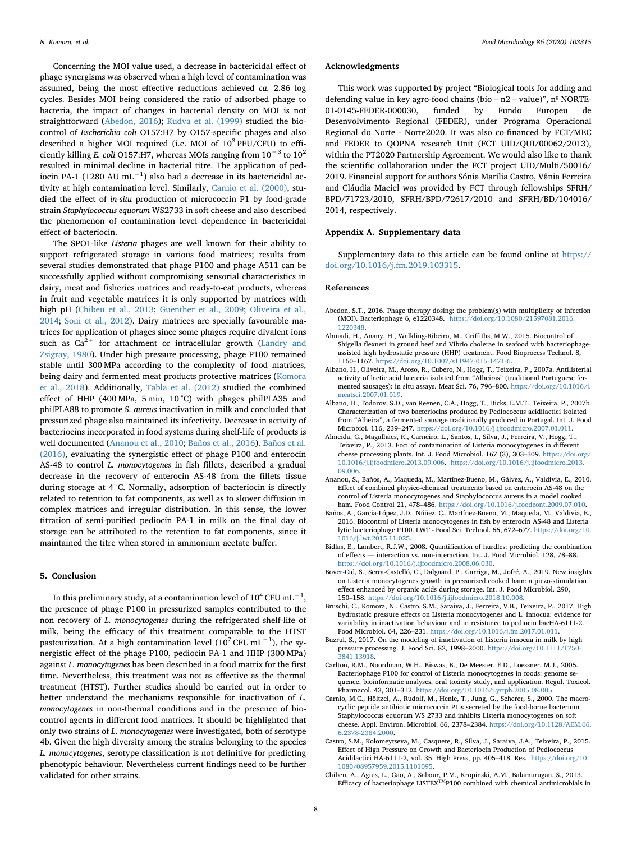Concerning the MOI value used, a decrease in bactericidal effect of phage synergisms was observed when a high level of contamination was assumed, being the most effective reductions achieved *ca.* 2.86 log cycles. Besides MOI being considered the ratio of adsorbed phage to bacteria, the impact of changes in bacterial density on MOI is not straightforward ([Abedon, 2016](#page-7-12)); [Kudva et al. \(1999\)](#page-8-37) studied the biocontrol of *Escherichia coli* O157:H7 by O157-specific phages and also described a higher MOI required (i.e. MOI of 103 PFU/CFU) to efficiently killing *E. coli* O157:H7, whereas MOIs ranging from 10−3 to 102 resulted in minimal decline in bacterial titre. The application of pediocin PA-1 (1280 AU mL<sup>-1</sup>) also had a decrease in its bactericidal activity at high contamination level. Similarly, [Carnio et al. \(2000\),](#page-7-13) studied the effect of *in-situ* production of micrococcin P1 by food-grade strain *Staphylococcus equorum* WS2733 in soft cheese and also described the phenomenon of contamination level dependence in bactericidal effect of bacteriocin.

The SPO1-like *Listeria* phages are well known for their ability to support refrigerated storage in various food matrices; results from several studies demonstrated that phage P100 and phage A511 can be successfully applied without compromising sensorial characteristics in dairy, meat and fisheries matrices and ready-to-eat products, whereas in fruit and vegetable matrices it is only supported by matrices with high pH ([Chibeu et al., 2013;](#page-7-2) [Guenther et al., 2009;](#page-8-38) [Oliveira et al.,](#page-8-39) [2014;](#page-8-39) [Soni et al., 2012\)](#page-8-40). Dairy matrices are specially favourable matrices for application of phages since some phages require divalent ions such as  $Ca^{2+}$  for attachment or intracellular growth [\(Landry and](#page-8-41) [Zsigray, 1980](#page-8-41)). Under high pressure processing, phage P100 remained stable until 300 MPa according to the complexity of food matrices, being dairy and fermented meat products protective matrices ([Komora](#page-8-25) [et al., 2018\)](#page-8-25). Additionally, [Tabla et al. \(2012\)](#page-8-22) studied the combined effect of HHP (400 MPa, 5 min, 10 °C) with phages philPLA35 and philPLA88 to promote *S. aureus* inactivation in milk and concluded that pressurized phage also maintained its infectivity. Decrease in activity of bacteriocins incorporated in food systems during shelf-life of products is well documented [\(Ananou et al., 2010;](#page-7-14) [Baños et al., 2016](#page-7-3)). [Baños et al.](#page-7-3) [\(2016\),](#page-7-3) evaluating the synergistic effect of phage P100 and enterocin AS-48 to control *L. monocytogenes* in fish fillets, described a gradual decrease in the recovery of enterocin AS-48 from the fillets tissue during storage at 4 °C. Normally, adsorption of bacteriocin is directly related to retention to fat components, as well as to slower diffusion in complex matrices and irregular distribution. In this sense, the lower titration of semi-purified pediocin PA-1 in milk on the final day of storage can be attributed to the retention to fat components, since it maintained the titre when stored in ammonium acetate buffer.

#### **5. Conclusion**

In this preliminary study, at a contamination level of  $10^4$  CFU mL<sup>-1</sup>, the presence of phage P100 in pressurized samples contributed to the non recovery of *L. monocytogenes* during the refrigerated shelf-life of milk, being the efficacy of this treatment comparable to the HTST pasteurization. At a high contamination level ( $10<sup>7</sup>$  CFU mL<sup>-1</sup>), the synergistic effect of the phage P100, pediocin PA-1 and HHP (300 MPa) against *L. monocytogenes* has been described in a food matrix for the first time. Nevertheless, this treatment was not as effective as the thermal treatment (HTST). Further studies should be carried out in order to better understand the mechanisms responsible for inactivation of *L. monocytogenes* in non-thermal conditions and in the presence of biocontrol agents in different food matrices. It should be highlighted that only two strains of *L. monocytogenes* were investigated, both of serotype 4b. Given the high diversity among the strains belonging to the species *L. monocytogenes*, serotype classification is not definitive for predicting phenotypic behaviour. Nevertheless current findings need to be further validated for other strains.

#### **Acknowledgments**

This work was supported by project "Biological tools for adding and defending value in key agro-food chains (bio - n2 - value)", nº NORTE-01-0145-FEDER-000030, funded by Fundo Europeu de Desenvolvimento Regional (FEDER), under Programa Operacional Regional do Norte - Norte2020. It was also co-financed by FCT/MEC and FEDER to QOPNA research Unit (FCT UID/QUI/00062/2013), within the PT2020 Partnership Agreement. We would also like to thank the scientific collaboration under the FCT project UID/Multi/50016/ 2019. Financial support for authors Sónia Marília Castro, Vânia Ferreira and Cláudia Maciel was provided by FCT through fellowships SFRH/ BPD/71723/2010, SFRH/BPD/72617/2010 and SFRH/BD/104016/ 2014, respectively.

#### **Appendix A. Supplementary data**

Supplementary data to this article can be found online at [https://](https://doi.org/10.1016/j.fm.2019.103315) [doi.org/10.1016/j.fm.2019.103315.](https://doi.org/10.1016/j.fm.2019.103315)

#### **References**

- <span id="page-7-12"></span>Abedon, S.T., 2016. Phage therapy dosing: the problem(s) with multiplicity of infection (MOI). Bacteriophage 6, e1220348. [https://doi.org/10.1080/21597081.2016.](https://doi.org/10.1080/21597081.2016.1220348) [1220348.](https://doi.org/10.1080/21597081.2016.1220348)
- <span id="page-7-4"></span>Ahmadi, H., Anany, H., Walkling-Ribeiro, M., Griffiths, M.W., 2015. Biocontrol of Shigella flexneri in ground beef and Vibrio cholerae in seafood with bacteriophageassisted high hydrostatic pressure (HHP) treatment. Food Bioprocess Technol. 8, 1160–1167. <https://doi.org/10.1007/s11947-015-1471-6>.
- <span id="page-7-7"></span>Albano, H., Oliveira, M., Aroso, R., Cubero, N., Hogg, T., Teixeira, P., 2007a. Antilisterial activity of lactic acid bacteria isolated from "Alheiras" (traditional Portuguese fermented sausages): in situ assays. Meat Sci. 76, 796–800. [https://doi.org/10.1016/j.](https://doi.org/10.1016/j.meatsci.2007.01.019) [meatsci.2007.01.019.](https://doi.org/10.1016/j.meatsci.2007.01.019)
- <span id="page-7-10"></span>Albano, H., Todorov, S.D., van Reenen, C.A., Hogg, T., Dicks, L.M.T., Teixeira, P., 2007b. Characterization of two bacteriocins produced by Pediococcus acidilactici isolated from "Alheira", a fermented sausage traditionally produced in Portugal. Int. J. Food Microbiol. 116, 239–247. [https://doi.org/10.1016/j.ijfoodmicro.2007.01.011.](https://doi.org/10.1016/j.ijfoodmicro.2007.01.011)
- <span id="page-7-0"></span>Almeida, G., Magalhães, R., Carneiro, L., Santos, I., Silva, J., Ferreira, V., Hogg, T., Teixeira, P., 2013. Foci of contamination of Listeria monocytogenes in different cheese processing plants. Int. J. Food Microbiol. 167 (3), 303–309. [https://doi.org/](https://doi.org/10.1016/j.ijfoodmicro.2013.09.006) 10.1016/j.ijfoodmicro.2013.09.006. [https://doi.org/10.1016/j.ijfoodmicro.2013.](https://doi.org/10.1016/j.ijfoodmicro.2013.09.006) [09.006](https://doi.org/10.1016/j.ijfoodmicro.2013.09.006).
- <span id="page-7-14"></span>Ananou, S., Baños, A., Maqueda, M., Martínez-Bueno, M., Gálvez, A., Valdivia, E., 2010. Effect of combined physico-chemical treatments based on enterocin AS-48 on the control of Listeria monocytogenes and Staphylococcus aureus in a model cooked ham. Food Control 21, 478–486. [https://doi.org/10.1016/j.foodcont.2009.07.010.](https://doi.org/10.1016/j.foodcont.2009.07.010)
- <span id="page-7-3"></span>Baños, A., García-López, J.D., Núñez, C., Martínez-Bueno, M., Maqueda, M., Valdivia, E., 2016. Biocontrol of Listeria monocytogenes in fish by enterocin AS-48 and Listeria lytic bacteriophage P100. LWT - Food Sci. Technol. 66, 672–677. [https://doi.org/10.](https://doi.org/10.1016/j.lwt.2015.11.025) [1016/j.lwt.2015.11.025](https://doi.org/10.1016/j.lwt.2015.11.025).
- <span id="page-7-1"></span>Bidlas, E., Lambert, R.J.W., 2008. Quantification of hurdles: predicting the combination of effects — interaction vs. non-interaction. Int. J. Food Microbiol. 128, 78–88. <https://doi.org/10.1016/j.ijfoodmicro.2008.06.030>.
- <span id="page-7-5"></span>Bover-Cid, S., Serra-Castelló, C., Dalgaard, P., Garriga, M., Jofré, A., 2019. New insights on Listeria monocytogenes growth in pressurised cooked ham: a piezo-stimulation effect enhanced by organic acids during storage. Int. J. Food Microbiol. 290, 150–158. [https://doi.org/10.1016/j.ijfoodmicro.2018.10.008.](https://doi.org/10.1016/j.ijfoodmicro.2018.10.008)
- <span id="page-7-6"></span>Bruschi, C., Komora, N., Castro, S.M., Saraiva, J., Ferreira, V.B., Teixeira, P., 2017. High hydrostatic pressure effects on Listeria monocytogenes and L. innocua: evidence for variability in inactivation behaviour and in resistance to pediocin bacHA-6111-2. Food Microbiol. 64, 226–231. <https://doi.org/10.1016/j.fm.2017.01.011>.
- <span id="page-7-11"></span>Buzrul, S., 2017. On the modeling of inactivation of Listeria innocua in milk by high pressure processing. J. Food Sci. 82, 1998–2000. [https://doi.org/10.1111/1750-](https://doi.org/10.1111/1750-3841.13918) [3841.13918.](https://doi.org/10.1111/1750-3841.13918)
- <span id="page-7-9"></span>Carlton, R.M., Noordman, W.H., Biswas, B., De Meester, E.D., Loessner, M.J., 2005. Bacteriophage P100 for control of Listeria monocytogenes in foods: genome sequence, bioinformatic analyses, oral toxicity study, and application. Regul. Toxicol. Pharmacol. 43, 301–312. [https://doi.org/10.1016/j.yrtph.2005.08.005.](https://doi.org/10.1016/j.yrtph.2005.08.005)
- <span id="page-7-13"></span>Carnio, M.C., Höltzel, A., Rudolf, M., Henle, T., Jung, G., Scherer, S., 2000. The macrocyclic peptide antibiotic micrococcin P1is secreted by the food-borne bacterium Staphylococcus equorum WS 2733 and inhibits Listeria monocytogenes on soft cheese. Appl. Environ. Microbiol. 66, 2378–2384. [https://doi.org/10.1128/AEM.66.](https://doi.org/10.1128/AEM.66.6.2378-2384.2000) [6.2378-2384.2000.](https://doi.org/10.1128/AEM.66.6.2378-2384.2000)
- <span id="page-7-8"></span>Castro, S.M., Kolomeytseva, M., Casquete, R., Silva, J., Saraiva, J.A., Teixeira, P., 2015. Effect of High Pressure on Growth and Bacteriocin Production of Pediococcus Acidilactici HA-6111-2, vol. 35. High Press, pp. 405–418. Res. [https://doi.org/10.](https://doi.org/10.1080/08957959.2015.1101095) [1080/08957959.2015.1101095.](https://doi.org/10.1080/08957959.2015.1101095)
- <span id="page-7-2"></span>Chibeu, A., Agius, L., Gao, A., Sabour, P.M., Kropinski, A.M., Balamurugan, S., 2013. Efficacy of bacteriophage LISTEX<sup>TM</sup>P100 combined with chemical antimicrobials in